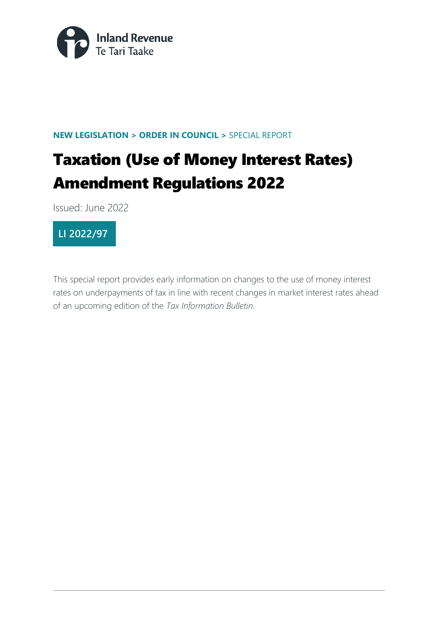

#### **NEW LEGISLATION > ORDER IN COUNCIL >** SPECIAL REPORT

# Taxation (Use of Money Interest Rates) Amendment Regulations 2022

Issued: June 2022



This special report provides early information on changes to the use of money interest rates on underpayments of tax in line with recent changes in market interest rates ahead of an upcoming edition of the *Tax Information Bulletin*.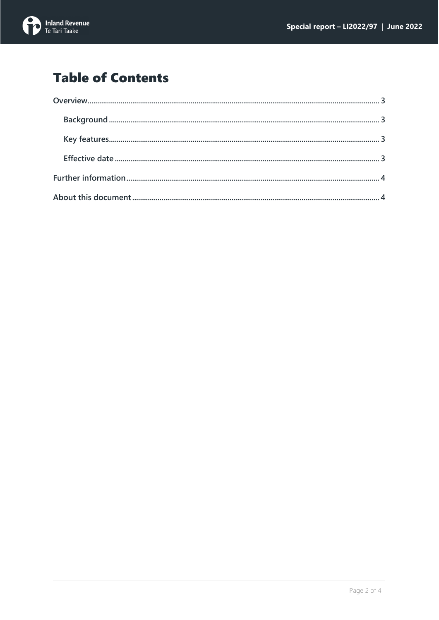

## **Table of Contents**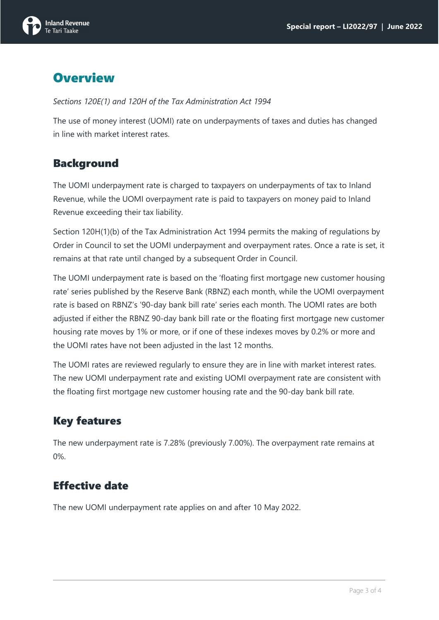

## <span id="page-2-0"></span>**Overview**

*Sections 120E(1) and 120H of the Tax Administration Act 1994*

The use of money interest (UOMI) rate on underpayments of taxes and duties has changed in line with market interest rates.

#### <span id="page-2-1"></span>Background

The UOMI underpayment rate is charged to taxpayers on underpayments of tax to Inland Revenue, while the UOMI overpayment rate is paid to taxpayers on money paid to Inland Revenue exceeding their tax liability.

Section 120H(1)(b) of the Tax Administration Act 1994 permits the making of regulations by Order in Council to set the UOMI underpayment and overpayment rates. Once a rate is set, it remains at that rate until changed by a subsequent Order in Council.

The UOMI underpayment rate is based on the 'floating first mortgage new customer housing rate' series published by the Reserve Bank (RBNZ) each month, while the UOMI overpayment rate is based on RBNZ's '90-day bank bill rate' series each month. The UOMI rates are both adjusted if either the RBNZ 90-day bank bill rate or the floating first mortgage new customer housing rate moves by 1% or more, or if one of these indexes moves by 0.2% or more and the UOMI rates have not been adjusted in the last 12 months.

The UOMI rates are reviewed regularly to ensure they are in line with market interest rates. The new UOMI underpayment rate and existing UOMI overpayment rate are consistent with the floating first mortgage new customer housing rate and the 90-day bank bill rate.

### <span id="page-2-2"></span>Key features

The new underpayment rate is 7.28% (previously 7.00%). The overpayment rate remains at 0%.

### <span id="page-2-3"></span>Effective date

The new UOMI underpayment rate applies on and after 10 May 2022.